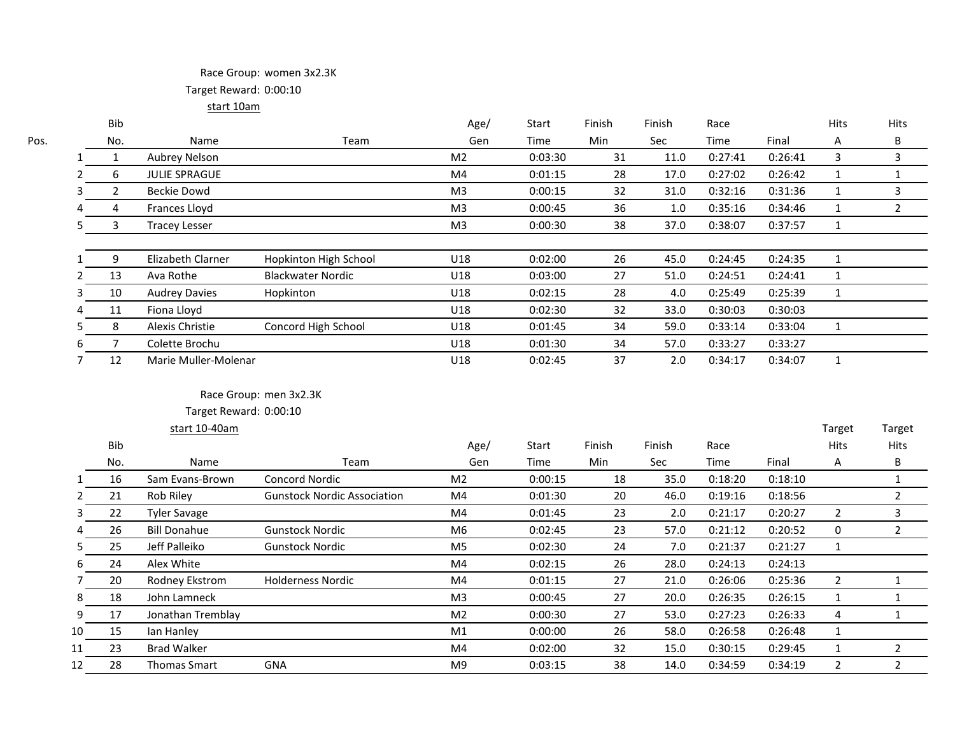## Race Group: women 3x2.3K Target Reward: 0:00:10

start 10am

| ۰. | ۰, |  |
|----|----|--|
|    |    |  |

|    | Bib |                      |                          | Age/           | Start   | Finish | Finish | Race    |         | <b>Hits</b> | Hits |
|----|-----|----------------------|--------------------------|----------------|---------|--------|--------|---------|---------|-------------|------|
|    | No. | Name                 | Team                     | Gen            | Time    | Min    | Sec    | Time    | Final   | Α           | B    |
|    |     | Aubrey Nelson        |                          | M <sub>2</sub> | 0:03:30 | 31     | 11.0   | 0:27:41 | 0:26:41 | 3           |      |
|    | 6   | <b>JULIE SPRAGUE</b> |                          | M4             | 0:01:15 | 28     | 17.0   | 0:27:02 | 0:26:42 |             |      |
| 3  | 2   | Beckie Dowd          |                          | M <sub>3</sub> | 0:00:15 | 32     | 31.0   | 0:32:16 | 0:31:36 |             | 3    |
|    | 4   | Frances Lloyd        |                          | M <sub>3</sub> | 0:00:45 | 36     | 1.0    | 0:35:16 | 0:34:46 |             | 2    |
|    | 3   | <b>Tracey Lesser</b> |                          | M <sub>3</sub> | 0:00:30 | 38     | 37.0   | 0:38:07 | 0:37:57 |             |      |
|    | 9   | Elizabeth Clarner    | Hopkinton High School    | U18            | 0:02:00 | 26     | 45.0   | 0:24:45 | 0:24:35 |             |      |
|    | 13  | Ava Rothe            | <b>Blackwater Nordic</b> | U18            | 0:03:00 | 27     | 51.0   | 0:24:51 | 0:24:41 |             |      |
| 5. | 10  | <b>Audrey Davies</b> | Hopkinton                | U18            | 0:02:15 | 28     | 4.0    | 0:25:49 | 0:25:39 |             |      |
|    | 11  | Fiona Lloyd          |                          | U18            | 0:02:30 | 32     | 33.0   | 0:30:03 | 0:30:03 |             |      |
|    | 8   | Alexis Christie      | Concord High School      | U18            | 0:01:45 | 34     | 59.0   | 0:33:14 | 0:33:04 |             |      |
| b  |     | Colette Brochu       |                          | U18            | 0:01:30 | 34     | 57.0   | 0:33:27 | 0:33:27 |             |      |
|    | 12  | Marie Muller-Molenar |                          | U18            | 0:02:45 | 37     | 2.0    | 0:34:17 | 0:34:07 |             |      |
|    |     |                      |                          |                |         |        |        |         |         |             |      |

#### Race Group: men 3x2.3K

|              |     | start 10-40am       |                                    |                |         |        |            |             |         | Target      | Target |
|--------------|-----|---------------------|------------------------------------|----------------|---------|--------|------------|-------------|---------|-------------|--------|
|              | Bib |                     |                                    | Age/           | Start   | Finish | Finish     | Race        |         | <b>Hits</b> | Hits   |
|              | No. | Name                | Team                               | Gen            | Time    | Min    | <b>Sec</b> | <b>Time</b> | Final   | A           | B      |
| $\mathbf{1}$ | 16  | Sam Evans-Brown     | <b>Concord Nordic</b>              | M <sub>2</sub> | 0:00:15 | 18     | 35.0       | 0:18:20     | 0:18:10 |             |        |
| $\mathbf{2}$ | 21  | Rob Riley           | <b>Gunstock Nordic Association</b> | M4             | 0:01:30 | 20     | 46.0       | 0:19:16     | 0:18:56 |             |        |
| 3            | 22  | <b>Tyler Savage</b> |                                    | M4             | 0:01:45 | 23     | 2.0        | 0:21:17     | 0:20:27 | 2           |        |
| 4            | 26  | <b>Bill Donahue</b> | <b>Gunstock Nordic</b>             | M6             | 0:02:45 | 23     | 57.0       | 0:21:12     | 0:20:52 | 0           |        |
| 5.           | 25  | Jeff Palleiko       | <b>Gunstock Nordic</b>             | M <sub>5</sub> | 0:02:30 | 24     | 7.0        | 0:21:37     | 0:21:27 |             |        |
| 6            | 24  | Alex White          |                                    | M4             | 0:02:15 | 26     | 28.0       | 0:24:13     | 0:24:13 |             |        |
|              | 20  | Rodney Ekstrom      | <b>Holderness Nordic</b>           | M4             | 0:01:15 | 27     | 21.0       | 0:26:06     | 0:25:36 |             |        |
| 8            | 18  | John Lamneck        |                                    | M <sub>3</sub> | 0:00:45 | 27     | 20.0       | 0:26:35     | 0:26:15 |             |        |
| 9            | 17  | Jonathan Tremblay   |                                    | M <sub>2</sub> | 0:00:30 | 27     | 53.0       | 0:27:23     | 0:26:33 | 4           |        |
| 10           | 15  | lan Hanley          |                                    | M <sub>1</sub> | 0:00:00 | 26     | 58.0       | 0:26:58     | 0:26:48 |             |        |
| 11           | 23  | <b>Brad Walker</b>  |                                    | M4             | 0:02:00 | 32     | 15.0       | 0:30:15     | 0:29:45 |             |        |
| 12           | 28  | Thomas Smart        | <b>GNA</b>                         | M <sub>9</sub> | 0:03:15 | 38     | 14.0       | 0:34:59     | 0:34:19 | 2           | ຳ      |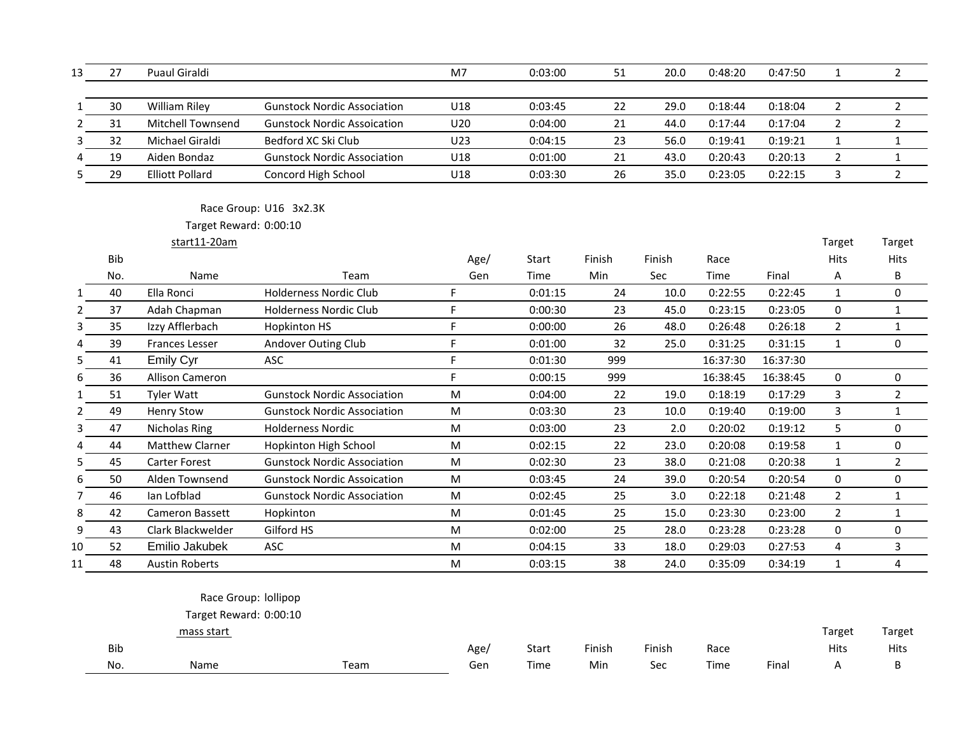| 13 | 27  | Puaul Giraldi            |                                    | M7   | 0:03:00 | 51     | 20.0   | 0:48:20  | 0:47:50  | 1              | $\overline{2}$ |
|----|-----|--------------------------|------------------------------------|------|---------|--------|--------|----------|----------|----------------|----------------|
| 1  | 30  | <b>William Riley</b>     | <b>Gunstock Nordic Association</b> | U18  | 0:03:45 | 22     | 29.0   | 0:18:44  | 0:18:04  | $\overline{2}$ | $\overline{2}$ |
|    | 31  | <b>Mitchell Townsend</b> | <b>Gunstock Nordic Assoication</b> | U20  | 0:04:00 | 21     | 44.0   | 0:17:44  | 0:17:04  | $\overline{2}$ | $\overline{2}$ |
| 3  | 32  | Michael Giraldi          | Bedford XC Ski Club                | U23  | 0:04:15 | 23     | 56.0   | 0:19:41  | 0:19:21  | $\mathbf{1}$   | $\mathbf{1}$   |
|    | 19  | Aiden Bondaz             | <b>Gunstock Nordic Association</b> | U18  | 0:01:00 | 21     | 43.0   | 0:20:43  | 0:20:13  | $\overline{2}$ | $\mathbf{1}$   |
| 5  | 29  | <b>Elliott Pollard</b>   | Concord High School                | U18  | 0:03:30 | 26     | 35.0   | 0:23:05  | 0:22:15  | 3              | $\overline{2}$ |
|    |     |                          | Race Group: U16 3x2.3K             |      |         |        |        |          |          |                |                |
|    |     | Target Reward: 0:00:10   |                                    |      |         |        |        |          |          |                |                |
|    |     | start11-20am             |                                    |      |         |        |        |          |          | Target         | Target         |
|    | Bib |                          |                                    | Age/ | Start   | Finish | Finish | Race     |          | Hits           | Hits           |
|    | No. | Name                     | Team                               | Gen  | Time    | Min    | Sec    | Time     | Final    | Α              | B              |
|    | 40  | Ella Ronci               | <b>Holderness Nordic Club</b>      | F    | 0:01:15 | 24     | 10.0   | 0:22:55  | 0:22:45  | $\mathbf{1}$   | 0              |
| 2  | 37  | Adah Chapman             | <b>Holderness Nordic Club</b>      | F    | 0:00:30 | 23     | 45.0   | 0:23:15  | 0:23:05  | 0              | $\mathbf{1}$   |
| 3  | 35  | Izzy Afflerbach          | <b>Hopkinton HS</b>                | F    | 0:00:00 | 26     | 48.0   | 0:26:48  | 0:26:18  | $\overline{2}$ | $\mathbf{1}$   |
| Δ  | 39  | <b>Frances Lesser</b>    | Andover Outing Club                | F    | 0:01:00 | 32     | 25.0   | 0:31:25  | 0:31:15  | $\mathbf{1}$   | 0              |
| 5  | 41  | <b>Emily Cyr</b>         | ASC                                | F    | 0:01:30 | 999    |        | 16:37:30 | 16:37:30 |                |                |
| 6  | 36  | <b>Allison Cameron</b>   |                                    | F    | 0:00:15 | 999    |        | 16:38:45 | 16:38:45 | $\mathbf 0$    | 0              |
| 1  | 51  | <b>Tyler Watt</b>        | <b>Gunstock Nordic Association</b> | M    | 0:04:00 | 22     | 19.0   | 0:18:19  | 0:17:29  | 3              | $\overline{2}$ |
| 2  | 49  | <b>Henry Stow</b>        | <b>Gunstock Nordic Association</b> | M    | 0:03:30 | 23     | 10.0   | 0:19:40  | 0:19:00  | 3              | $\mathbf{1}$   |
|    | 47  | Nicholas Ring            | <b>Holderness Nordic</b>           | M    | 0:03:00 | 23     | 2.0    | 0:20:02  | 0:19:12  | 5              | $\pmb{0}$      |
|    | 44  | <b>Matthew Clarner</b>   | Hopkinton High School              | M    | 0:02:15 | 22     | 23.0   | 0:20:08  | 0:19:58  | $\mathbf{1}$   | $\pmb{0}$      |
| 5  | 45  | <b>Carter Forest</b>     | <b>Gunstock Nordic Association</b> | M    | 0:02:30 | 23     | 38.0   | 0:21:08  | 0:20:38  | $\mathbf{1}$   | $\overline{2}$ |
| 6  | 50  | Alden Townsend           | <b>Gunstock Nordic Assoication</b> | M    | 0:03:45 | 24     | 39.0   | 0:20:54  | 0:20:54  | $\mathbf 0$    | 0              |
|    | 46  | lan Lofblad              | <b>Gunstock Nordic Association</b> | M    | 0:02:45 | 25     | 3.0    | 0:22:18  | 0:21:48  | $\overline{2}$ | $\mathbf{1}$   |
| 8  | 42  | Cameron Bassett          | Hopkinton                          | M    | 0:01:45 | 25     | 15.0   | 0:23:30  | 0:23:00  | $\overline{2}$ | $\mathbf{1}$   |
| 9  | 43  | Clark Blackwelder        | Gilford HS                         | M    | 0:02:00 | 25     | 28.0   | 0:23:28  | 0:23:28  | $\mathbf 0$    | 0              |
| 10 | 52  | Emilio Jakubek           | ASC                                | M    | 0:04:15 | 33     | 18.0   | 0:29:03  | 0:27:53  | 4              | 3              |
| 11 | 48  | <b>Austin Roberts</b>    |                                    | M    | 0:03:15 | 38     | 24.0   | 0:35:09  | 0:34:19  | $\mathbf{1}$   | 4              |

## Race Group: lollipop

|            | mass start |      |      |              |        |        |      |       | Target | Target      |
|------------|------------|------|------|--------------|--------|--------|------|-------|--------|-------------|
| <b>Bib</b> |            |      | Age, | <b>Start</b> | Finish | Finish | Race |       | Hits   | <b>Hits</b> |
| No.        | Name       | Геаm | Gen  | Time         | Min    | Sec    | Time | Final |        |             |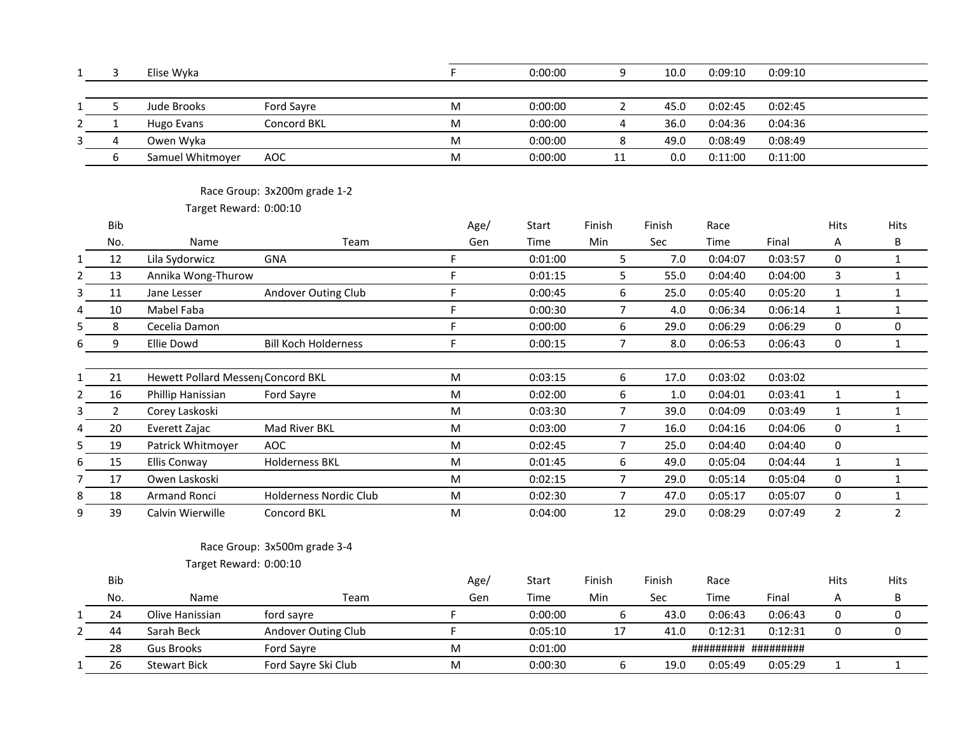| 1 | 3          | Elise Wyka                         |                               | F                                                                                                          | 0:00:00 | 9                       | 10.0   | 0:09:10 | 0:09:10 |                |                |
|---|------------|------------------------------------|-------------------------------|------------------------------------------------------------------------------------------------------------|---------|-------------------------|--------|---------|---------|----------------|----------------|
|   |            |                                    |                               |                                                                                                            |         |                         |        |         |         |                |                |
|   | 5          | Jude Brooks                        | Ford Sayre                    | M                                                                                                          | 0:00:00 | $\overline{2}$          | 45.0   | 0:02:45 | 0:02:45 |                |                |
|   | $1\,$      | <b>Hugo Evans</b>                  | Concord BKL                   | M                                                                                                          | 0:00:00 | $\overline{\mathbf{4}}$ | 36.0   | 0:04:36 | 0:04:36 |                |                |
|   | 4          | Owen Wyka                          |                               | M                                                                                                          | 0:00:00 | $\,8\,$                 | 49.0   | 0:08:49 | 0:08:49 |                |                |
|   | 6          | Samuel Whitmoyer                   | AOC                           | M                                                                                                          | 0:00:00 | 11                      | 0.0    | 0:11:00 | 0:11:00 |                |                |
|   |            |                                    |                               |                                                                                                            |         |                         |        |         |         |                |                |
|   |            |                                    | Race Group: 3x200m grade 1-2  |                                                                                                            |         |                         |        |         |         |                |                |
|   |            | Target Reward: 0:00:10             |                               |                                                                                                            |         |                         |        |         |         |                |                |
|   | <b>Bib</b> |                                    |                               | Age/                                                                                                       | Start   | Finish                  | Finish | Race    |         | <b>Hits</b>    | Hits           |
|   | No.        | Name                               | Team                          | Gen                                                                                                        | Time    | Min                     | Sec    | Time    | Final   | Α              | B              |
|   | 12         | Lila Sydorwicz                     | <b>GNA</b>                    | F                                                                                                          | 0:01:00 | 5                       | 7.0    | 0:04:07 | 0:03:57 | 0              | $\mathbf{1}$   |
|   | 13         | Annika Wong-Thurow                 |                               | F                                                                                                          | 0:01:15 | 5                       | 55.0   | 0:04:40 | 0:04:00 | 3              | $\mathbf{1}$   |
|   | 11         | Jane Lesser                        | Andover Outing Club           | F                                                                                                          | 0:00:45 | 6                       | 25.0   | 0:05:40 | 0:05:20 | $\mathbf{1}$   | $\mathbf{1}$   |
|   | 10         | Mabel Faba                         |                               | F                                                                                                          | 0:00:30 | $\overline{7}$          | 4.0    | 0:06:34 | 0:06:14 | $\mathbf{1}$   | $\mathbf{1}$   |
|   | 8          | Cecelia Damon                      |                               | F                                                                                                          | 0:00:00 | $\boldsymbol{6}$        | 29.0   | 0:06:29 | 0:06:29 | 0              | 0              |
|   | 9          | <b>Ellie Dowd</b>                  | <b>Bill Koch Holderness</b>   | F                                                                                                          | 0:00:15 | $\overline{7}$          | 8.0    | 0:06:53 | 0:06:43 | 0              | $\mathbf{1}$   |
|   |            |                                    |                               |                                                                                                            |         |                         |        |         |         |                |                |
|   | 21         | Hewett Pollard Messen (Concord BKL |                               | M                                                                                                          | 0:03:15 | $\boldsymbol{6}$        | 17.0   | 0:03:02 | 0:03:02 |                |                |
|   | 16         | Phillip Hanissian                  | Ford Sayre                    | M                                                                                                          | 0:02:00 | $\boldsymbol{6}$        | 1.0    | 0:04:01 | 0:03:41 | $\mathbf{1}$   | $\mathbf{1}$   |
|   | 2          | Corey Laskoski                     |                               | M                                                                                                          | 0:03:30 | $\overline{7}$          | 39.0   | 0:04:09 | 0:03:49 | $\mathbf{1}$   | $\mathbf{1}$   |
|   | 20         | Everett Zajac                      | Mad River BKL                 | M                                                                                                          | 0:03:00 | $\overline{7}$          | 16.0   | 0:04:16 | 0:04:06 | 0              | $\mathbf{1}$   |
|   | 19         | Patrick Whitmoyer                  | <b>AOC</b>                    | M                                                                                                          | 0:02:45 | $\overline{7}$          | 25.0   | 0:04:40 | 0:04:40 | 0              |                |
|   | 15         | Ellis Conway                       | <b>Holderness BKL</b>         | M                                                                                                          | 0:01:45 | 6                       | 49.0   | 0:05:04 | 0:04:44 | $\mathbf{1}$   | $\mathbf{1}$   |
|   | 17         | Owen Laskoski                      |                               | $\mathsf{M}% _{T}=\mathsf{M}_{T}\!\left( a,b\right) ,\ \mathsf{M}_{T}=\mathsf{M}_{T}\!\left( a,b\right) ,$ | 0:02:15 | $\overline{7}$          | 29.0   | 0:05:14 | 0:05:04 | 0              | $\mathbf{1}$   |
|   | 18         | Armand Ronci                       | <b>Holderness Nordic Club</b> | M                                                                                                          | 0:02:30 | $\overline{7}$          | 47.0   | 0:05:17 | 0:05:07 | 0              | $\mathbf{1}$   |
|   | 39         | Calvin Wierwille                   | Concord BKL                   | ${\sf M}$                                                                                                  | 0:04:00 | 12                      | 29.0   | 0:08:29 | 0:07:49 | $\overline{2}$ | $\overline{2}$ |
|   |            |                                    |                               |                                                                                                            |         |                         |        |         |         |                |                |
|   |            |                                    | Race Group: 3x500m grade 3-4  |                                                                                                            |         |                         |        |         |         |                |                |
|   |            | Target Reward: 0:00:10             |                               |                                                                                                            |         |                         |        |         |         |                |                |
|   | Bib        |                                    |                               | Age/                                                                                                       | Start   | Finish                  | Finish | Race    |         | Hits           | <b>Hits</b>    |
|   | No.        | Name                               | Team                          | Gen                                                                                                        | Time    | Min                     | Sec    | Time    | Final   | Α              | В              |
|   | 24         | Olive Hanissian                    | ford sayre                    | F                                                                                                          | 0:00:00 | 6                       | 43.0   | 0:06:43 | 0:06:43 | 0              | 0              |
|   | 44         | Sarah Beck                         | Andover Outing Club           | F                                                                                                          | 0:05:10 | 17                      | 41.0   | 0:12:31 | 0:12:31 | 0              | 0              |
|   | 28         | <b>Gus Brooks</b>                  | Ford Sayre                    | M                                                                                                          | 0:01:00 |                         |        |         |         |                |                |
|   | 26         | <b>Stewart Bick</b>                | Ford Sayre Ski Club           | M                                                                                                          | 0:00:30 | 6                       | 19.0   | 0:05:49 | 0:05:29 | $\mathbf{1}$   | $\mathbf{1}$   |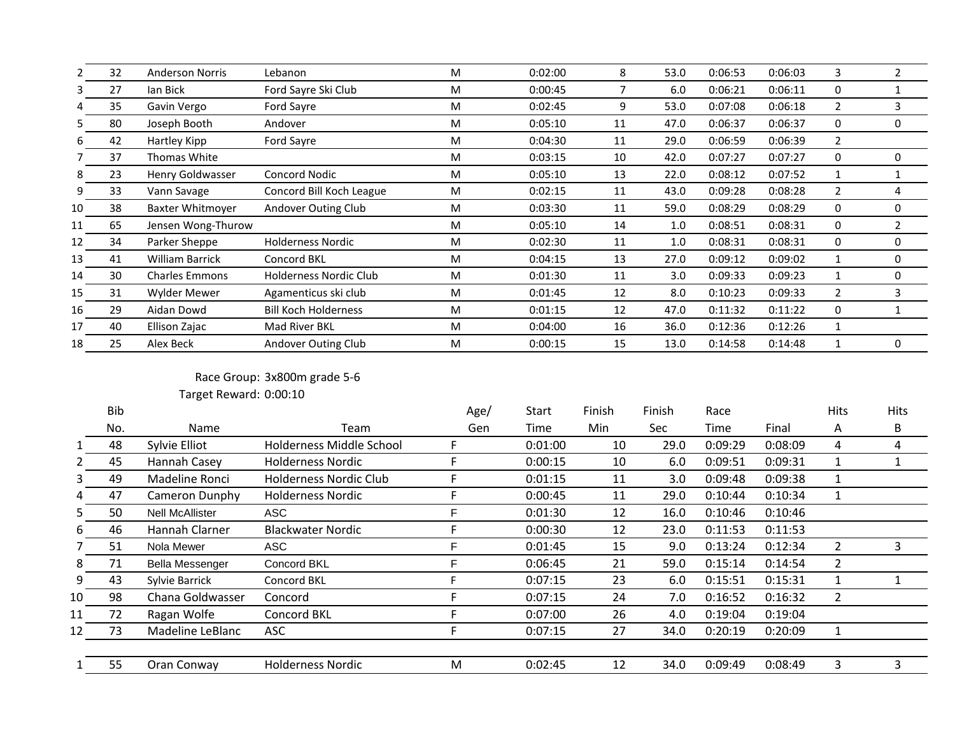|    | 32 | <b>Anderson Norris</b> | Lebanon                       | M | 0:02:00 | 8  | 53.0 | 0:06:53 | 0:06:03 | 3              | $\overline{2}$ |
|----|----|------------------------|-------------------------------|---|---------|----|------|---------|---------|----------------|----------------|
| 3  | 27 | lan Bick               | Ford Sayre Ski Club           | M | 0:00:45 |    | 6.0  | 0:06:21 | 0:06:11 | 0              |                |
| 4  | 35 | Gavin Vergo            | Ford Sayre                    | M | 0:02:45 | 9  | 53.0 | 0:07:08 | 0:06:18 | $\overline{2}$ | 3              |
|    | 80 | Joseph Booth           | Andover                       | M | 0:05:10 | 11 | 47.0 | 0:06:37 | 0:06:37 | $\Omega$       | 0              |
| 6. | 42 | Hartley Kipp           | Ford Sayre                    | M | 0:04:30 | 11 | 29.0 | 0:06:59 | 0:06:39 | $\overline{2}$ |                |
|    | 37 | Thomas White           |                               | M | 0:03:15 | 10 | 42.0 | 0:07:27 | 0:07:27 | 0              | 0              |
| 8  | 23 | Henry Goldwasser       | Concord Nodic                 | M | 0:05:10 | 13 | 22.0 | 0:08:12 | 0:07:52 | 1              |                |
| 9  | 33 | Vann Savage            | Concord Bill Koch League      | M | 0:02:15 | 11 | 43.0 | 0:09:28 | 0:08:28 | $\overline{2}$ |                |
| 10 | 38 | Baxter Whitmover       | Andover Outing Club           | M | 0:03:30 | 11 | 59.0 | 0:08:29 | 0:08:29 | 0              | 0              |
| 11 | 65 | Jensen Wong-Thurow     |                               | M | 0:05:10 | 14 | 1.0  | 0:08:51 | 0:08:31 | 0              | 2              |
| 12 | 34 | Parker Sheppe          | <b>Holderness Nordic</b>      | M | 0:02:30 | 11 | 1.0  | 0:08:31 | 0:08:31 | 0              | 0              |
| 13 | 41 | <b>William Barrick</b> | <b>Concord BKL</b>            | M | 0:04:15 | 13 | 27.0 | 0:09:12 | 0:09:02 | 1              | 0              |
| 14 | 30 | <b>Charles Emmons</b>  | <b>Holderness Nordic Club</b> | M | 0:01:30 | 11 | 3.0  | 0:09:33 | 0:09:23 | 1              | 0              |
| 15 | 31 | <b>Wylder Mewer</b>    | Agamenticus ski club          | M | 0:01:45 | 12 | 8.0  | 0:10:23 | 0:09:33 | 2              | 3              |
| 16 | 29 | Aidan Dowd             | <b>Bill Koch Holderness</b>   | M | 0:01:15 | 12 | 47.0 | 0:11:32 | 0:11:22 | 0              |                |
| 17 | 40 | Ellison Zajac          | Mad River BKL                 | M | 0:04:00 | 16 | 36.0 | 0:12:36 | 0:12:26 | 1              |                |
| 18 | 25 | Alex Beck              | Andover Outing Club           | M | 0:00:15 | 15 | 13.0 | 0:14:58 | 0:14:48 |                | 0              |
|    |    |                        |                               |   |         |    |      |         |         |                |                |

## Race Group: 3x800m grade 5-6

|    | Bib |                        |                          | Age/ | Start   | Finish | Finish | Race    |         | <b>Hits</b> | <b>Hits</b> |  |
|----|-----|------------------------|--------------------------|------|---------|--------|--------|---------|---------|-------------|-------------|--|
|    | No. | Name                   | Team                     | Gen  | Time    | Min    | Sec    | Time    | Final   | A           | B           |  |
|    | 48  | Sylvie Elliot          | Holderness Middle School |      | 0:01:00 | 10     | 29.0   | 0:09:29 | 0:08:09 | 4           | 4           |  |
|    | 45  | Hannah Casey           | <b>Holderness Nordic</b> |      | 0:00:15 | 10     | 6.0    | 0:09:51 | 0:09:31 |             |             |  |
|    | 49  | Madeline Ronci         | Holderness Nordic Club   |      | 0:01:15 | 11     | 3.0    | 0:09:48 | 0:09:38 |             |             |  |
|    | 47  | Cameron Dunphy         | <b>Holderness Nordic</b> |      | 0:00:45 | 11     | 29.0   | 0:10:44 | 0:10:34 |             |             |  |
| 5. | 50  | <b>Nell McAllister</b> | ASC                      | F    | 0:01:30 | 12     | 16.0   | 0:10:46 | 0:10:46 |             |             |  |
| b  | 46  | Hannah Clarner         | <b>Blackwater Nordic</b> |      | 0:00:30 | 12     | 23.0   | 0:11:53 | 0:11:53 |             |             |  |
|    | 51  | Nola Mewer             | ASC.                     | F    | 0:01:45 | 15     | 9.0    | 0:13:24 | 0:12:34 | 2           | 3           |  |
| 8  | 71  | <b>Bella Messenger</b> | Concord BKL              | F    | 0:06:45 | 21     | 59.0   | 0:15:14 | 0:14:54 | 2           |             |  |
| 9  | 43  | Sylvie Barrick         | Concord BKL              |      | 0:07:15 | 23     | 6.0    | 0:15:51 | 0:15:31 |             |             |  |
| 10 | 98  | Chana Goldwasser       | Concord                  |      | 0:07:15 | 24     | 7.0    | 0:16:52 | 0:16:32 | 2           |             |  |
| 11 | 72  | Ragan Wolfe            | Concord BKL              |      | 0:07:00 | 26     | 4.0    | 0:19:04 | 0:19:04 |             |             |  |
| 12 | 73  | Madeline LeBlanc       | ASC                      | F    | 0:07:15 | 27     | 34.0   | 0:20:19 | 0:20:09 |             |             |  |
|    | 55  | Oran Conway            | <b>Holderness Nordic</b> | M    | 0:02:45 | 12     | 34.0   | 0:09:49 | 0:08:49 | 3           | 3           |  |
|    |     |                        |                          |      |         |        |        |         |         |             |             |  |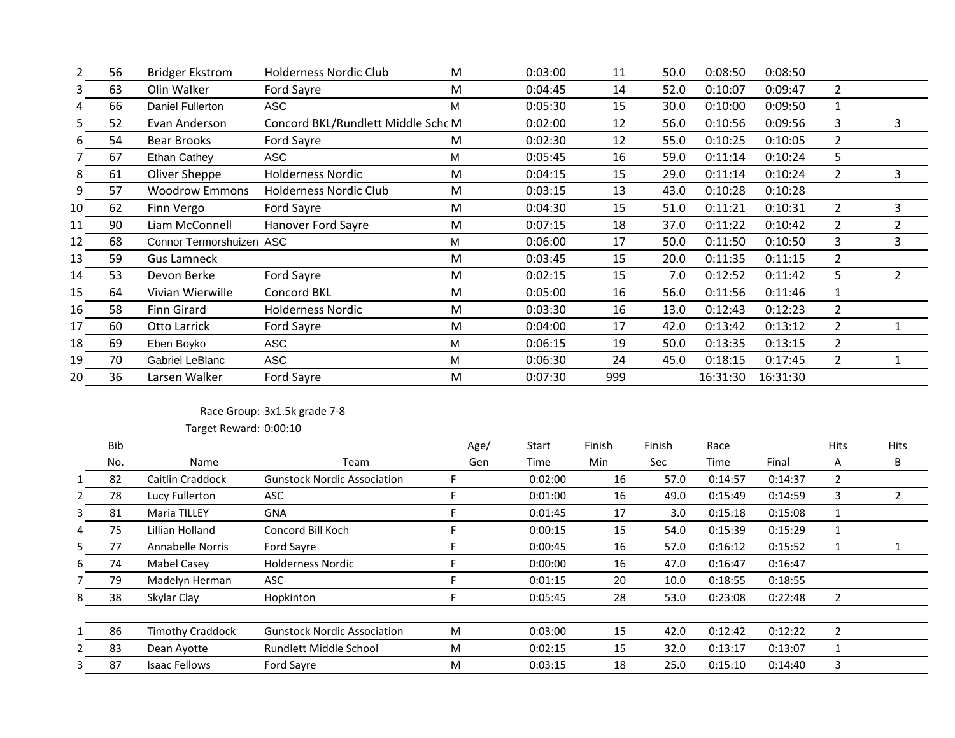|    | 56 | <b>Bridger Ekstrom</b>   | Holderness Nordic Club             | M | 0:03:00 | 11  | 50.0 | 0:08:50  | 0:08:50  |                |   |
|----|----|--------------------------|------------------------------------|---|---------|-----|------|----------|----------|----------------|---|
|    | 63 | Olin Walker              | Ford Sayre                         | M | 0:04:45 | 14  | 52.0 | 0:10:07  | 0:09:47  | $\overline{2}$ |   |
|    | 66 | Daniel Fullerton         | ASC                                | M | 0:05:30 | 15  | 30.0 | 0:10:00  | 0:09:50  |                |   |
|    | 52 | Evan Anderson            | Concord BKL/Rundlett Middle Schc M |   | 0:02:00 | 12  | 56.0 | 0:10:56  | 0:09:56  | 3              | 3 |
| 6  | 54 | <b>Bear Brooks</b>       | Ford Sayre                         | M | 0:02:30 | 12  | 55.0 | 0:10:25  | 0:10:05  | $\overline{2}$ |   |
|    | 67 | Ethan Cathey             | ASC                                | M | 0:05:45 | 16  | 59.0 | 0:11:14  | 0:10:24  | 5              |   |
| 8  | 61 | Oliver Sheppe            | <b>Holderness Nordic</b>           | M | 0:04:15 | 15  | 29.0 | 0:11:14  | 0:10:24  | $\overline{2}$ | 3 |
| 9  | 57 | <b>Woodrow Emmons</b>    | Holderness Nordic Club             | M | 0:03:15 | 13  | 43.0 | 0:10:28  | 0:10:28  |                |   |
| 10 | 62 | Finn Vergo               | Ford Sayre                         | M | 0:04:30 | 15  | 51.0 | 0:11:21  | 0:10:31  | 2              | 3 |
| 11 | 90 | Liam McConnell           | Hanover Ford Sayre                 | M | 0:07:15 | 18  | 37.0 | 0:11:22  | 0:10:42  | 2              |   |
| 12 | 68 | Connor Termorshuizen ASC |                                    | M | 0:06:00 | 17  | 50.0 | 0:11:50  | 0:10:50  | 3              | 3 |
| 13 | 59 | <b>Gus Lamneck</b>       |                                    | M | 0:03:45 | 15  | 20.0 | 0:11:35  | 0:11:15  | 2              |   |
| 14 | 53 | Devon Berke              | Ford Sayre                         | M | 0:02:15 | 15  | 7.0  | 0:12:52  | 0:11:42  | 5.             |   |
| 15 | 64 | Vivian Wierwille         | Concord BKL                        | M | 0:05:00 | 16  | 56.0 | 0:11:56  | 0:11:46  |                |   |
| 16 | 58 | Finn Girard              | <b>Holderness Nordic</b>           | M | 0:03:30 | 16  | 13.0 | 0:12:43  | 0:12:23  | 2              |   |
| 17 | 60 | <b>Otto Larrick</b>      | Ford Sayre                         | M | 0:04:00 | 17  | 42.0 | 0:13:42  | 0:13:12  | 2              |   |
| 18 | 69 | Eben Boyko               | <b>ASC</b>                         | M | 0:06:15 | 19  | 50.0 | 0:13:35  | 0:13:15  | 2              |   |
| 19 | 70 | Gabriel LeBlanc          | <b>ASC</b>                         | м | 0:06:30 | 24  | 45.0 | 0:18:15  | 0:17:45  | 2              |   |
| 20 | 36 | Larsen Walker            | Ford Sayre                         | M | 0:07:30 | 999 |      | 16:31:30 | 16:31:30 |                |   |

# Race Group: 3x1.5k grade 7-8

|              | <b>Bib</b> |                         |                                    | Age/ | Start   | Finish | Finish | Race    |         | <b>Hits</b> | Hits |
|--------------|------------|-------------------------|------------------------------------|------|---------|--------|--------|---------|---------|-------------|------|
|              | No.        | Name                    | Team                               | Gen  | Time    | Min    | Sec    | Time    | Final   | A           | B    |
|              | 82         | <b>Caitlin Craddock</b> | <b>Gunstock Nordic Association</b> |      | 0:02:00 | 16     | 57.0   | 0:14:57 | 0:14:37 |             |      |
| $\mathbf{2}$ | 78         | Lucy Fullerton          | <b>ASC</b>                         |      | 0:01:00 | 16     | 49.0   | 0:15:49 | 0:14:59 | 3           |      |
| 3            | 81         | <b>Maria TILLEY</b>     | <b>GNA</b>                         |      | 0:01:45 | 17     | 3.0    | 0:15:18 | 0:15:08 |             |      |
| 4            | 75         | Lillian Holland         | Concord Bill Koch                  |      | 0:00:15 | 15     | 54.0   | 0:15:39 | 0:15:29 |             |      |
| 5.           | 77         | <b>Annabelle Norris</b> | Ford Sayre                         |      | 0:00:45 | 16     | 57.0   | 0:16:12 | 0:15:52 |             |      |
| 6            | 74         | Mabel Casey             | <b>Holderness Nordic</b>           |      | 0:00:00 | 16     | 47.0   | 0:16:47 | 0:16:47 |             |      |
|              | 79         | Madelyn Herman          | <b>ASC</b>                         |      | 0:01:15 | 20     | 10.0   | 0:18:55 | 0:18:55 |             |      |
| 8            | 38         | Skylar Clay             | Hopkinton                          |      | 0:05:45 | 28     | 53.0   | 0:23:08 | 0:22:48 |             |      |
|              | 86         | <b>Timothy Craddock</b> | <b>Gunstock Nordic Association</b> | M    | 0:03:00 | 15     | 42.0   | 0:12:42 | 0:12:22 |             |      |
| 2            | 83         | Dean Ayotte             | Rundlett Middle School             | M    | 0:02:15 | 15     | 32.0   | 0:13:17 | 0:13:07 |             |      |
| 3.           | 87         | <b>Isaac Fellows</b>    | Ford Sayre                         | M    | 0:03:15 | 18     | 25.0   | 0:15:10 | 0:14:40 | 3           |      |